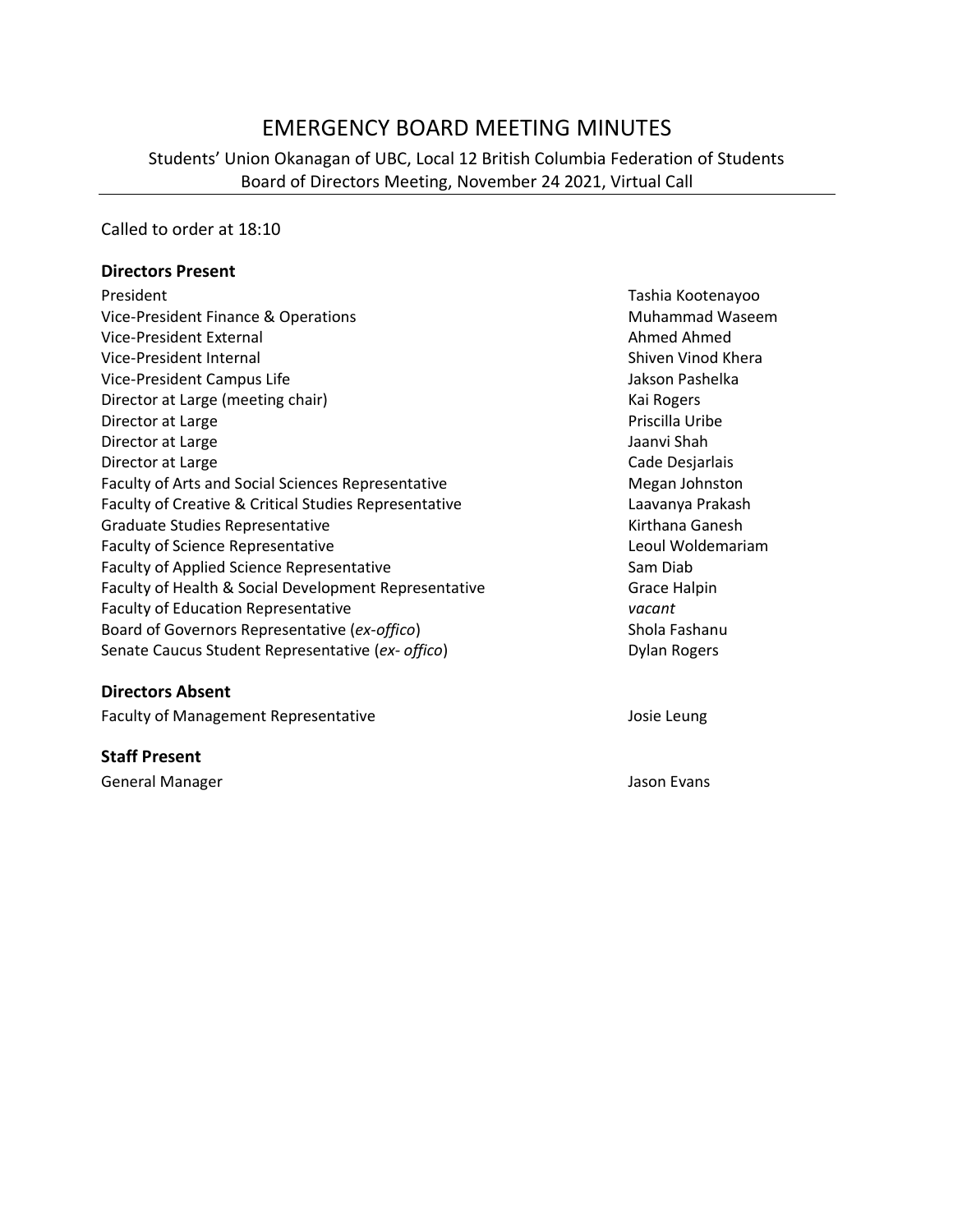# EMERGENCY BOARD MEETING MINUTES

Students' Union Okanagan of UBC, Local 12 British Columbia Federation of Students Board of Directors Meeting, November 24 2021, Virtual Call

Called to order at 18:10

#### **Directors Present**

| President                                                 | Tashia Kootenayoo      |
|-----------------------------------------------------------|------------------------|
| Vice-President Finance & Operations                       | <b>Muhammad Waseem</b> |
| Vice-President External                                   | Ahmed Ahmed            |
| Vice-President Internal                                   | Shiven Vinod Khera     |
| Vice-President Campus Life                                | Jakson Pashelka        |
| Director at Large (meeting chair)                         | Kai Rogers             |
| Director at Large                                         | Priscilla Uribe        |
| Director at Large                                         | Jaanvi Shah            |
| Director at Large                                         | Cade Desjarlais        |
| <b>Faculty of Arts and Social Sciences Representative</b> | Megan Johnston         |
| Faculty of Creative & Critical Studies Representative     | Laavanya Prakash       |
| Graduate Studies Representative                           | Kirthana Ganesh        |
| <b>Faculty of Science Representative</b>                  | Leoul Woldemariam      |
| <b>Faculty of Applied Science Representative</b>          | Sam Diab               |
| Faculty of Health & Social Development Representative     | Grace Halpin           |
| <b>Faculty of Education Representative</b>                | vacant                 |
| Board of Governors Representative (ex-offico)             | Shola Fashanu          |
| Senate Caucus Student Representative (ex- offico)         | Dylan Rogers           |
|                                                           |                        |

### **Directors Absent**

Faculty of Management Representative and a series of Management Representative

## **Staff Present**

General Manager Jason Evans